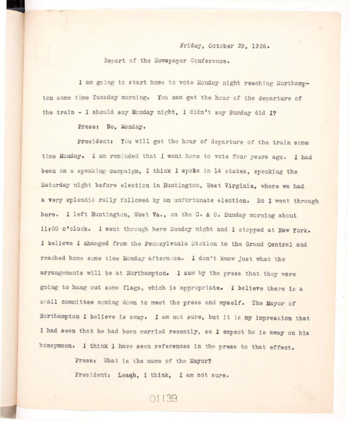## Friday, October 29, 1926.

## Renort of the Newspaper Conference.

I am going to start home to vote Monday night reaching Northampton some time Tuesday morning. You can get the hour of the departure of **the train - I should say Monday night, I didn't say Sunday did I?** 

## Press: No. Monday.

President: You will get the hour of departure of the train some **time Monday, i am reminded that I went home to vote four years ago. I had**  been on a speaking campaign. I think I spoke in 14 states, speaking the Saturday night before election in Huntington, West Virginia, where we had a very splendid rally followed by an unfortunate election. So I went through here. I left Huntington, West Va., on the C. & O. Sunday morning about **11:00 o'clock. I went through here Sunday night and I stopped at New York. I believe I changed from the Pennsylvania Station to the Grand Central and reached home some time Monday afternoon. I don't know just what the**  arrangements will be at Northampton. I saw by the press that they were going to hang out some flags, which is appropriate. I believe there is a small committee coming down to meet the press and myself. The Mayor of Northampton I believe is away. I am not sure, but it is my impression that I had seen that he had been married recently, so I expect he is away on his honeymoon. I think I have seen references in the press to that effect.

> **Press: What is the name of the Mayor? President: Leaqh, I think, I am not sure.**

> > 01139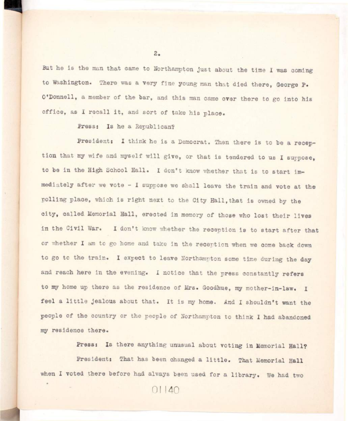But he is the man that came to Northampton just about the time I was coming **to Washington. There was a very fine young man that died there, George P. O'Donnell, a member of the bar, and this man came over there to go into his**  office, as I recall it, and sort of take his place.

**Press: Is he a Republican?** 

President: I think he is a Democrat. Then there is to be a reception that my wife and myself will give, or that is tendered to us I suppose, to be in the High School Hall. I don't know whether that is to start immediately after we vote - I suppose we shall leave the train and vote at the polling place, which is right next to the City Hall, that is owned by the **city , called Memorial Hall, erected i n memory of those who lost their lives**  in the Civil War. I don't know whether the reception is to start after that or whether I am to go home and take in the reception when we come back down to go to the train. I expect to leave Northampton some time during the day **and reach here in the evening. I notice that the press constantly refers to my home up there as the residence of Mrs. Goodhue, ray mother-in-law. I**  feel a little jealous about that. It is my home. And I shouldn't want the **people of the country or the people of Northampton to think I had abandoned my residence there.** 

**Press: Is there anything unusual about voting in Memorial Hall?** 

President: That has been changed a little. That Memorial Hall when I voted there before had always been used for a library. We had two

 $01140$ 

 $2 \bullet$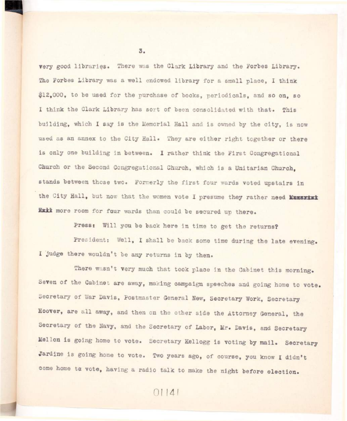**very good libraries . There was the Clark Library and the Forbes Library. The Forbes Library was a well endowed library for a small place, I think #12,000, to be used for the purchase of books, periodicals, and so on, so I think the Clark Library has sort of been consolidated with that. This building, which I say i s the Memorial Hall and i s owned by the city , i s now**  used as an annex to the City Hall. They are either right together or there is only one building in between. I rather think the First Congregational **Church or the Second Congregational Church, which i s a Unitarian Church,**  stands between those two. Formerly the first four wards voted upstairs in the City Hall, but now that the women vote I presume they rather need **Munsrial Hxii more room for four wards than could be secured up there.** 

Press: Will you be back here in time to get the returns?

President: Well, I shall be back some time during the late evening. I judge there wouldn't be any returns in by then.

There wasn't very much that took place in the Cabinet this morning. Seven of the Cabinet are away, making campaign speeches and going home to vote. **Secretary of War Davis, Postmaster General New, Secretary Work, Secretary**  Hoover, are all away, and then on the other side the Attorney General, the **Secretary of the Navy, and the Secretary of Labor, Mr. Davis, and Secretary Mellon is going home to vote. Secretary Kellogg is voting by mail. Secretary**  Jardine is going home to vote. Two years ago, of course, you know I didn't **come home to vote, having a radio talk to make the night before election.** 

3.

 $01141$